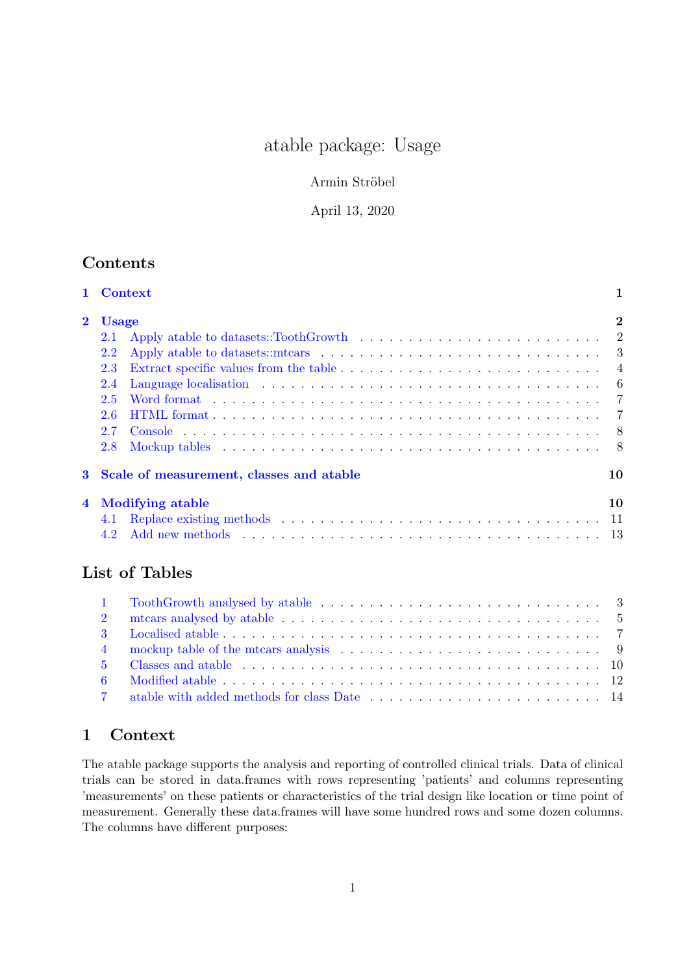# atable package: Usage

### Armin Ströbel

### April 13, 2020

## **Contents**

|                         | 1 Context                                                                                                                                                                                                                             | 1              |
|-------------------------|---------------------------------------------------------------------------------------------------------------------------------------------------------------------------------------------------------------------------------------|----------------|
| $\overline{\mathbf{2}}$ | <b>Usage</b>                                                                                                                                                                                                                          | $\overline{2}$ |
|                         | 2.1                                                                                                                                                                                                                                   |                |
|                         | 2.2                                                                                                                                                                                                                                   |                |
|                         | Extract specific values from the table $\dots \dots \dots \dots \dots \dots \dots \dots \dots \dots \dots$<br>2.3                                                                                                                     |                |
|                         | 2.4                                                                                                                                                                                                                                   | - 6            |
|                         | Word format and a subsequently subsequently in the set of the set of the set of the set of the set of the set of the set of the set of the set of the set of the set of the set of the set of the set of the set of the set of<br>2.5 | $\overline{7}$ |
|                         | 2.6                                                                                                                                                                                                                                   | $\overline{7}$ |
|                         | 2.7                                                                                                                                                                                                                                   | 8              |
|                         | 2.8                                                                                                                                                                                                                                   | - 8            |
| 3                       | Scale of measurement, classes and atable                                                                                                                                                                                              | 10             |
| $\overline{\mathbf{4}}$ | <b>Modifying atable</b>                                                                                                                                                                                                               | 10             |
|                         | 4.1                                                                                                                                                                                                                                   |                |
|                         | 4.2                                                                                                                                                                                                                                   |                |
|                         | List of Tables                                                                                                                                                                                                                        |                |
|                         | 1                                                                                                                                                                                                                                     |                |
|                         | mtcars analysed by atable $\ldots \ldots \ldots \ldots \ldots \ldots \ldots \ldots \ldots \ldots \ldots$<br>2                                                                                                                         |                |
|                         | 3                                                                                                                                                                                                                                     |                |
|                         | 4                                                                                                                                                                                                                                     | 9              |

## <span id="page-0-0"></span>1 Context

The atable package supports the analysis and reporting of controlled clinical trials. Data of clinical trials can be stored in data.frames with rows representing 'patients' and columns representing 'measurements' on these patients or characteristics of the trial design like location or time point of measurement. Generally these data.frames will have some hundred rows and some dozen columns. The columns have different purposes: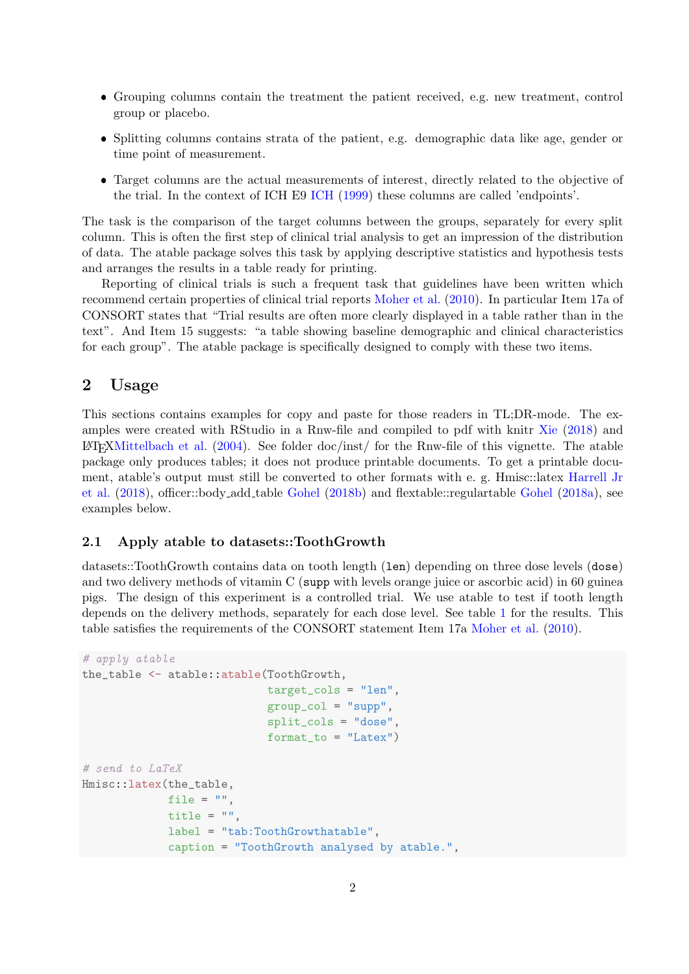- Grouping columns contain the treatment the patient received, e.g. new treatment, control group or placebo.
- Splitting columns contains strata of the patient, e.g. demographic data like age, gender or time point of measurement.
- Target columns are the actual measurements of interest, directly related to the objective of the trial. In the context of ICH E9 [ICH](#page-13-1) [\(1999\)](#page-13-1) these columns are called 'endpoints'.

The task is the comparison of the target columns between the groups, separately for every split column. This is often the first step of clinical trial analysis to get an impression of the distribution of data. The atable package solves this task by applying descriptive statistics and hypothesis tests and arranges the results in a table ready for printing.

Reporting of clinical trials is such a frequent task that guidelines have been written which recommend certain properties of clinical trial reports [Moher et al.](#page-14-0) [\(2010\)](#page-14-0). In particular Item 17a of CONSORT states that "Trial results are often more clearly displayed in a table rather than in the text". And Item 15 suggests: "a table showing baseline demographic and clinical characteristics for each group". The atable package is specifically designed to comply with these two items.

### <span id="page-1-0"></span>2 Usage

This sections contains examples for copy and paste for those readers in TL;DR-mode. The examples were created with RStudio in a Rnw-file and compiled to pdf with knitr [Xie](#page-14-1) [\(2018\)](#page-14-1) and  $\text{LATEXMittelbach}$  et al. [\(2004\)](#page-13-2). See folder doc/inst/ for the Rnw-file of this vignette. The atable package only produces tables; it does not produce printable documents. To get a printable document, atable's output must still be converted to other formats with e. g. Hmisc::latex [Harrell Jr](#page-13-3) [et al.](#page-13-3) [\(2018\)](#page-13-3), officer::body add table [Gohel](#page-13-4) [\(2018b\)](#page-13-4) and flextable::regulartable [Gohel](#page-13-5) [\(2018a\)](#page-13-5), see examples below.

#### <span id="page-1-1"></span>2.1 Apply atable to datasets::ToothGrowth

datasets::ToothGrowth contains data on tooth length (len) depending on three dose levels (dose) and two delivery methods of vitamin C (supp with levels orange juice or ascorbic acid) in 60 guinea pigs. The design of this experiment is a controlled trial. We use atable to test if tooth length depends on the delivery methods, separately for each dose level. See table [1](#page-2-1) for the results. This table satisfies the requirements of the CONSORT statement Item 17a [Moher et al.](#page-14-0) [\(2010\)](#page-14-0).

```
# apply atable
the_table <- atable::atable(ToothGrowth,
                            target_cols = "len",
                            group\_col = "supp",split_cols = "dose",
                            format_to = "Later")# send to LaTeX
Hmisc::latex(the_table,
             file = ",
             title = ",
             label = "tab:ToothGrowthatable",
             caption = "ToothGrowth analysed by atable.",
```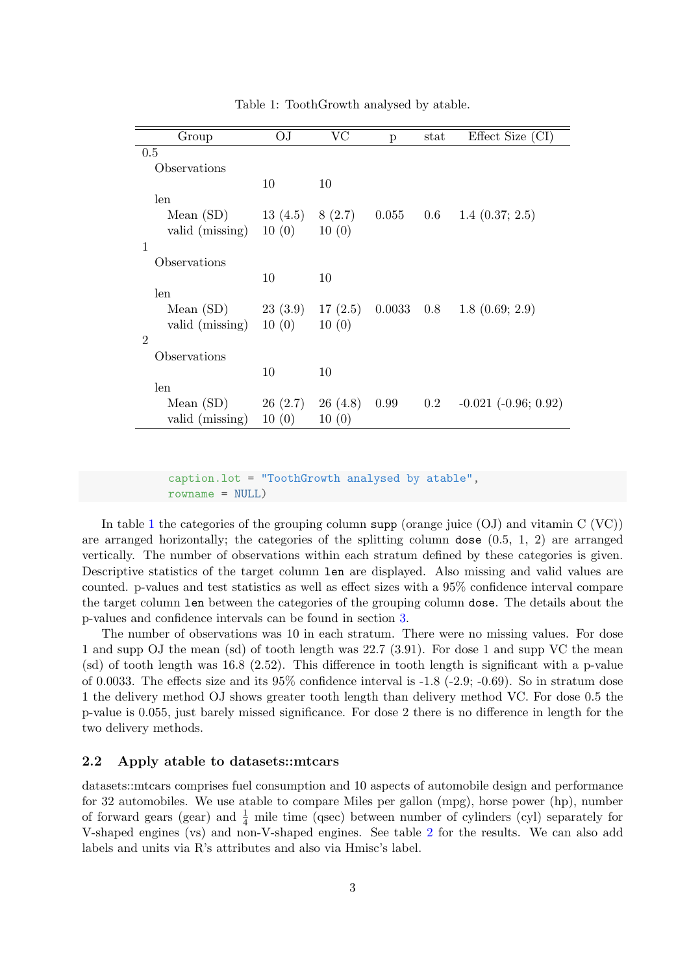| Group           | OJ      | VC      | p      | stat    | Effect Size (CI)         |
|-----------------|---------|---------|--------|---------|--------------------------|
| 0.5             |         |         |        |         |                          |
| Observations    |         |         |        |         |                          |
|                 | 10      | 10      |        |         |                          |
| len             |         |         |        |         |                          |
| Mean $(SD)$     | 13(4.5) | 8(2.7)  | 0.055  | $0.6\,$ | $1.4$ $(0.37; 2.5)$      |
| valid (missing) | 10(0)   | 10(0)   |        |         |                          |
| 1               |         |         |        |         |                          |
| Observations    |         |         |        |         |                          |
|                 | 10      | 10      |        |         |                          |
| len             |         |         |        |         |                          |
| Mean $(SD)$     | 23(3.9) | 17(2.5) | 0.0033 | 0.8     | 1.8(0.69; 2.9)           |
| valid (missing) | 10(0)   | 10(0)   |        |         |                          |
| $\overline{2}$  |         |         |        |         |                          |
| Observations    |         |         |        |         |                          |
|                 | 10      | 10      |        |         |                          |
| len             |         |         |        |         |                          |
| Mean $(SD)$     | 26(2.7) | 26(4.8) | 0.99   | $0.2\,$ | $-0.021$ $(-0.96; 0.92)$ |
| valid (missing) | 10(0)   | 10(0)   |        |         |                          |

<span id="page-2-1"></span>Table 1: ToothGrowth analysed by atable.

caption.lot = "ToothGrowth analysed by atable", rowname = NULL)

In table [1](#page-2-1) the categories of the grouping column supp (orange juice  $(OJ)$ ) and vitamin  $C (VC)$ ) are arranged horizontally; the categories of the splitting column dose  $(0.5, 1, 2)$  are arranged vertically. The number of observations within each stratum defined by these categories is given. Descriptive statistics of the target column len are displayed. Also missing and valid values are counted. p-values and test statistics as well as effect sizes with a 95% confidence interval compare the target column len between the categories of the grouping column dose. The details about the p-values and confidence intervals can be found in section [3.](#page-9-0)

The number of observations was 10 in each stratum. There were no missing values. For dose 1 and supp OJ the mean (sd) of tooth length was 22.7 (3.91). For dose 1 and supp VC the mean (sd) of tooth length was 16.8 (2.52). This difference in tooth length is significant with a p-value of 0.0033. The effects size and its  $95\%$  confidence interval is  $-1.8$  ( $-2.9$ ;  $-0.69$ ). So in stratum dose 1 the delivery method OJ shows greater tooth length than delivery method VC. For dose 0.5 the p-value is 0.055, just barely missed significance. For dose 2 there is no difference in length for the two delivery methods.

#### <span id="page-2-0"></span>2.2 Apply atable to datasets::mtcars

datasets::mtcars comprises fuel consumption and 10 aspects of automobile design and performance for 32 automobiles. We use atable to compare Miles per gallon (mpg), horse power (hp), number of forward gears (gear) and  $\frac{1}{4}$  mile time (qsec) between number of cylinders (cyl) separately for V-shaped engines (vs) and non-V-shaped engines. See table [2](#page-4-0) for the results. We can also add labels and units via R's attributes and also via Hmisc's label.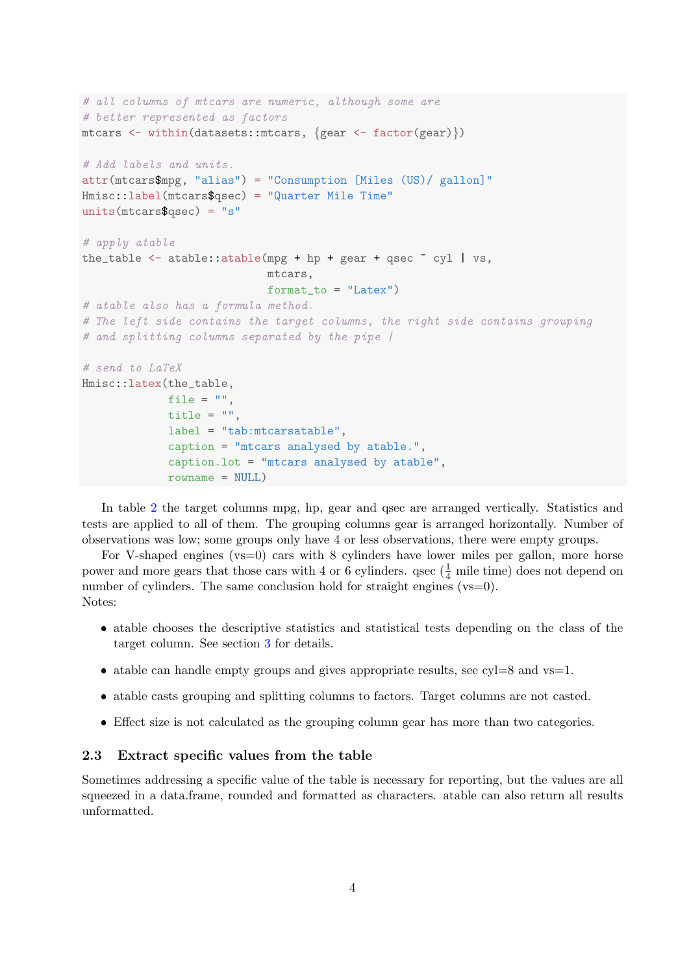```
# all columns of mtcars are numeric, although some are
# better represented as factors
mtcars <- within(datasets::mtcars, {gear <- factor(gear)})
# Add labels and units.
attr(mtcars$mpg, "alias") = "Consumption [Miles (US)/ gallon]"
Hmisc::label(mtcars$qsec) = "Quarter Mile Time"
units(mtcars\gsec) = "s"
# apply atable
the_table \leq atable:: atable(mpg + hp + gear + qsec \tilde{c} cyl | vs,
                            mtcars,
                            format to = "Latex")
# atable also has a formula method.
# The left side contains the target columns, the right side contains grouping
# and splitting columns separated by the pipe /
# send to LaTeX
Hmisc::latex(the_table,
            file = ",
             title = ".
             label = "tab:mtcarsatable",
             caption = "mtcars analysed by atable.",
             caption.lot = "mtcars analysed by atable",
             rowname = NULL)
```
In table [2](#page-4-0) the target columns mpg, hp, gear and qsec are arranged vertically. Statistics and tests are applied to all of them. The grouping columns gear is arranged horizontally. Number of observations was low; some groups only have 4 or less observations, there were empty groups.

For V-shaped engines (vs=0) cars with 8 cylinders have lower miles per gallon, more horse power and more gears that those cars with 4 or 6 cylinders. qsec  $(\frac{1}{4}$  mile time) does not depend on number of cylinders. The same conclusion hold for straight engines (vs=0). Notes:

- atable chooses the descriptive statistics and statistical tests depending on the class of the target column. See section [3](#page-9-0) for details.
- atable can handle empty groups and gives appropriate results, see  $cyl=8$  and vs=1.
- atable casts grouping and splitting columns to factors. Target columns are not casted.
- Effect size is not calculated as the grouping column gear has more than two categories.

#### <span id="page-3-0"></span>2.3 Extract specific values from the table

Sometimes addressing a specific value of the table is necessary for reporting, but the values are all squeezed in a data.frame, rounded and formatted as characters. atable can also return all results unformatted.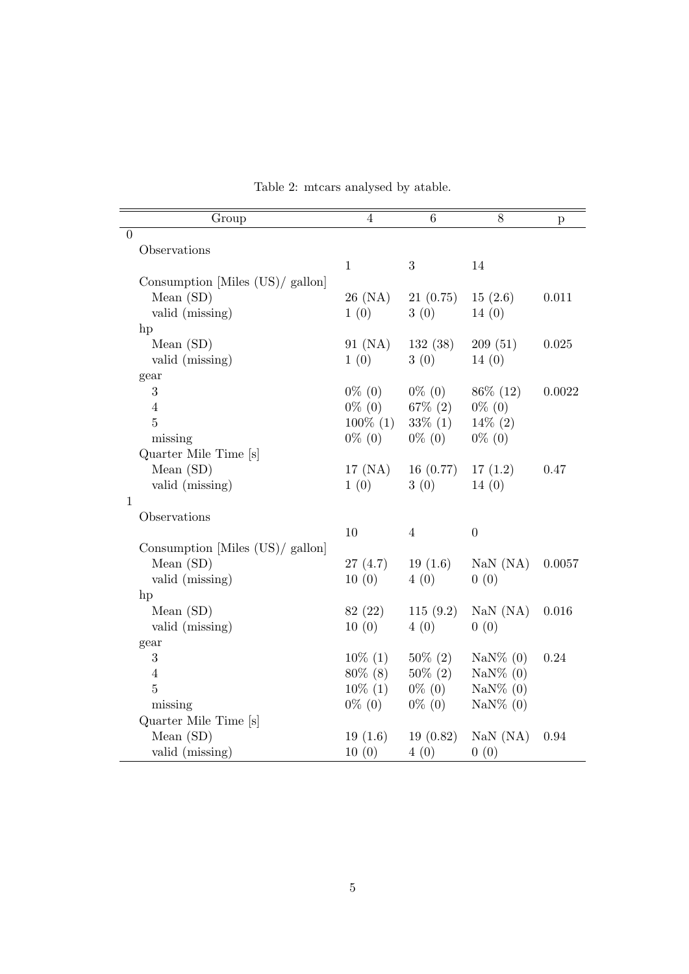| Group                            | $\overline{4}$ | 6              | 8                        |          |
|----------------------------------|----------------|----------------|--------------------------|----------|
| $\theta$                         |                |                |                          | p        |
| Observations                     |                |                |                          |          |
|                                  | $\mathbf{1}$   | 3              | 14                       |          |
| Consumption [Miles (US)/ gallon] |                |                |                          |          |
| Mean $(SD)$                      | 26 (NA)        | 21(0.75)       | 15(2.6)                  | 0.011    |
| valid (missing)                  | 1(0)           | 3(0)           | 14(0)                    |          |
| hp                               |                |                |                          |          |
| Mean $(SD)$                      | 91 (NA)        | 132(38)        | 209(51)                  | 0.025    |
| valid (missing)                  | 1(0)           | 3(0)           | 14(0)                    |          |
| gear                             |                |                |                          |          |
| $\sqrt{3}$                       | $0\%$ (0)      | $0\%$ (0)      | $86\%$ (12)              | 0.0022   |
| $\overline{4}$                   | $0\%$ (0)      | $67\%$ (2)     | $0\%$ (0)                |          |
| $\overline{5}$                   | $100\%$ (1)    | $33\% (1)$     | $14\% (2)$               |          |
| missing                          | $0\%$ (0)      | $0\%$ (0)      | $0\%$ (0)                |          |
| Quarter Mile Time [s]            |                |                |                          |          |
| Mean $(SD)$                      | 17~(M)         | 16(0.77)       | 17(1.2)                  | 0.47     |
| valid (missing)                  | 1(0)           | 3(0)           | 14(0)                    |          |
| $\mathbf{1}$                     |                |                |                          |          |
| Observations                     |                |                |                          |          |
|                                  | 10             | $\overline{4}$ | $\boldsymbol{0}$         |          |
| Consumption [Miles (US)/ gallon] |                |                |                          |          |
| Mean (SD)                        | 27(4.7)        | 19(1.6)        | $\text{NaN} (\text{NA})$ | 0.0057   |
| valid (missing)                  | 10(0)          | 4(0)           | 0(0)                     |          |
| hp<br>Mean (SD)                  | 82 (22)        | 115(9.2)       | $\text{NaN} (\text{NA})$ | 0.016    |
| valid (missing)                  | 10(0)          | 4(0)           | 0(0)                     |          |
| gear                             |                |                |                          |          |
| $\sqrt{3}$                       | $10\%$ (1)     | $50\% (2)$     | $\text{NaN}\%$ (0)       | $0.24\,$ |
| $\overline{4}$                   | $80\%$ (8)     | $50\% (2)$     | $\text{NaN}\%$ (0)       |          |
| $\overline{5}$                   | $10\%$ (1)     | $0\%$ (0)      | $\text{NaN}\%$ (0)       |          |
| missing                          | $0\%$ (0)      | $0\%$ (0)      | $\text{NaN}\%$ (0)       |          |
| Quarter Mile Time [s]            |                |                |                          |          |
| Mean $(SD)$                      | 19(1.6)        | 19(0.82)       | $\text{NaN} (\text{NA})$ | 0.94     |
| valid (missing)                  | 10(0)          | 4(0)           | 0(0)                     |          |

<span id="page-4-0"></span>Table 2: mtcars analysed by atable.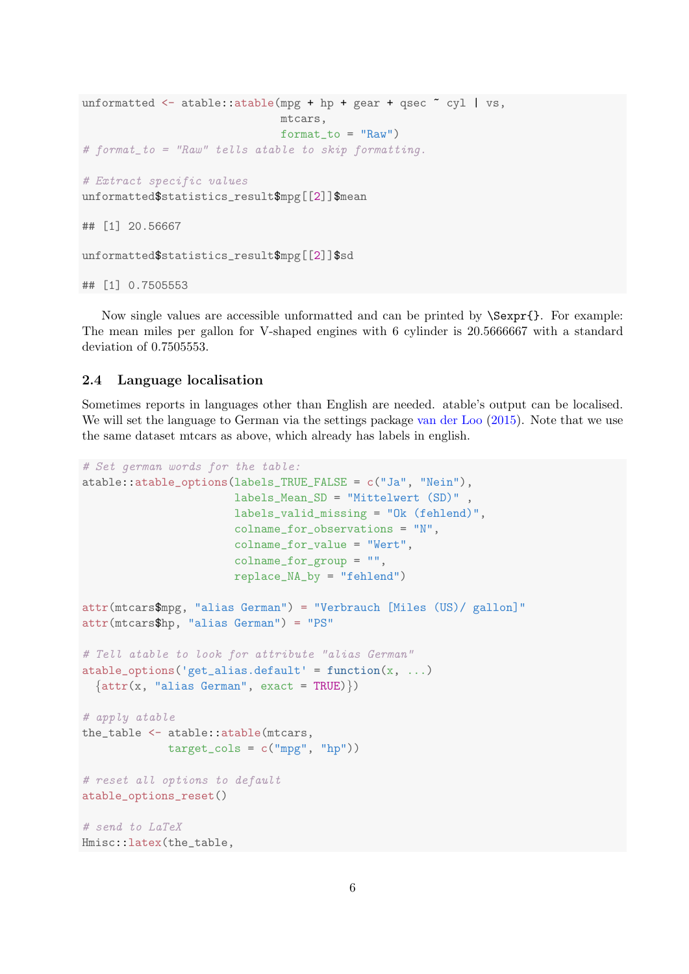```
unformatted \leq atable::atable(mpg + hp + gear + qsec \sim cyl | vs,
                               mtcars,
                               format_to = "Raw")
# format_to = "Raw" tells atable to skip formatting.
# Extract specific values
unformatted$statistics_result$mpg[[2]]$mean
## [1] 20.56667
unformatted$statistics_result$mpg[[2]]$sd
## [1] 0.7505553
```
Now single values are accessible unformatted and can be printed by \Sexpr{}. For example: The mean miles per gallon for V-shaped engines with 6 cylinder is 20.5666667 with a standard deviation of 0.7505553.

#### <span id="page-5-0"></span>2.4 Language localisation

Sometimes reports in languages other than English are needed. atable's output can be localised. We will set the language to German via the settings package [van der Loo](#page-14-2) [\(2015\)](#page-14-2). Note that we use the same dataset mtcars as above, which already has labels in english.

```
# Set german words for the table:
atable::atable_options(labels_TRUE_FALSE = c("Ja", "Nein"),
                       labels_Mean_SD = "Mittelwert (SD)" ,
                       labels_valid_missing = "Ok (fehlend)",
                       colname_for_observations = "N",
                       colname_for_value = "Wert",
                       colname_for_group = "",
                       replace_NA_by = "fehlend")
attr(mtcars$mpg, "alias German") = "Verbrauch [Miles (US)/ gallon]"
attr(mtcars$hp, "alias German") = "PS"
# Tell atable to look for attribute "alias German"
atable_options('get_alias.default' = function(x, ...)\{attr(x, "alias German", exact = TRUE)\})# apply atable
the_table <- atable::atable(mtcars,
             target_cols = c("mpg", "hp")# reset all options to default
atable_options_reset()
# send to LaTeX
Hmisc::latex(the_table,
```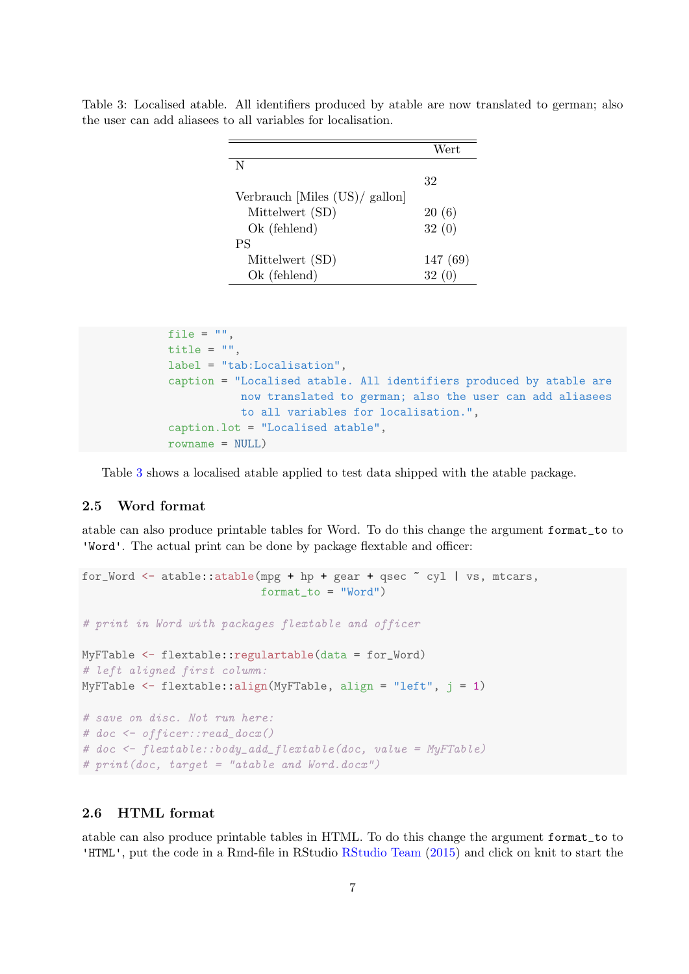|                                | Wert    |
|--------------------------------|---------|
| N                              |         |
|                                | 32      |
| Verbrauch [Miles (US)/ gallon] |         |
| Mittelwert (SD)                | 20(6)   |
| Ok (fehlend)                   | 32(0)   |
| <b>PS</b>                      |         |
| Mittelwert (SD)                | 147(69) |
| Ok (fehlend)                   | 32      |

<span id="page-6-2"></span>Table 3: Localised atable. All identifiers produced by atable are now translated to german; also the user can add aliasees to all variables for localisation.

```
file = ",
title = ".
label = "tab:Localisation",
caption = "Localised atable. All identifiers produced by atable are
           now translated to german; also the user can add aliasees
          to all variables for localisation.",
caption.lot = "Localised atable",
rowname = NULL)
```
Table [3](#page-6-2) shows a localised atable applied to test data shipped with the atable package.

### <span id="page-6-0"></span>2.5 Word format

atable can also produce printable tables for Word. To do this change the argument format\_to to 'Word'. The actual print can be done by package flextable and officer:

```
for_Word \leq atable::atable(mpg + hp + gear + qsec \degree cyl | vs, mtcars,
                            format_to = "Word")
# print in Word with packages flextable and officer
MyFTable <- flextable::regulartable(data = for_Word)
# left aligned first column:
MyFTable \leq flextable:: align(MyFTable, align = "left", j = 1)
# save on disc. Not run here:
# doc <- officer::read_docx()
# doc \leq flextable::body_add_flextable(doc, value = MyFTable)
# print(doc, target = "atable and Word.docx")
```
#### <span id="page-6-1"></span>2.6 HTML format

atable can also produce printable tables in HTML. To do this change the argument format\_to to 'HTML', put the code in a Rmd-file in RStudio [RStudio Team](#page-14-3) [\(2015\)](#page-14-3) and click on knit to start the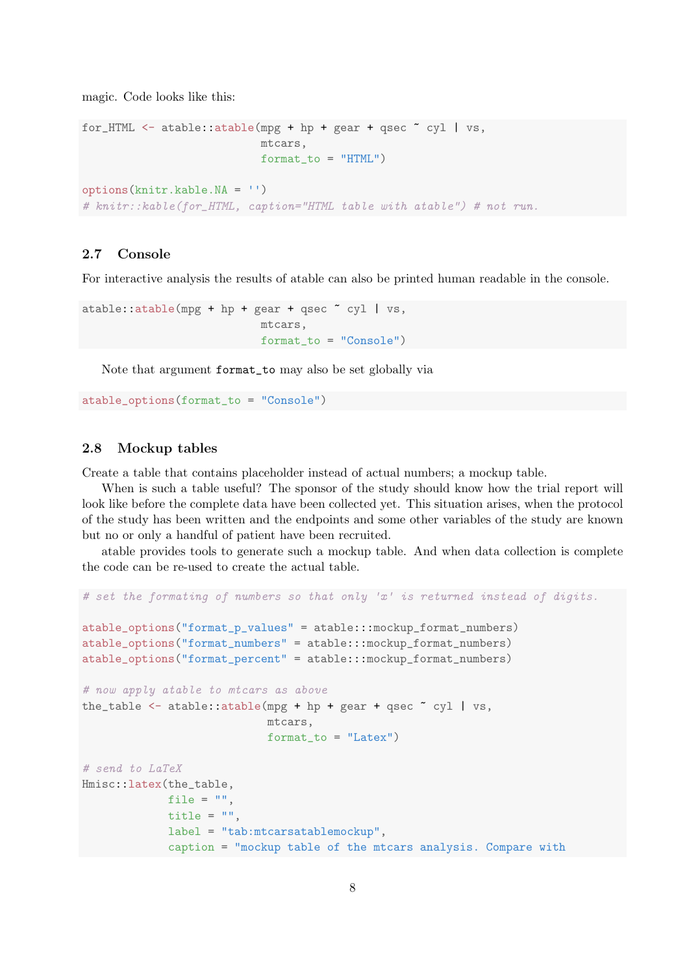magic. Code looks like this:

```
for_HTML <- atable::atable(mpg + hp + gear + qsec \tilde{c} cyl | vs,
                            mtcars,
                            format_to = "HTML")options(knitr.kable.NA = '')
# knitr::kable(for_HTML, caption="HTML table with atable") # not run.
```
#### <span id="page-7-0"></span>2.7 Console

For interactive analysis the results of atable can also be printed human readable in the console.

```
atable::atable(mpg + hp + gear + qsec ~ cyl | vs,
                           mtcars,
                           format_to = "Console")
```
Note that argument format\_to may also be set globally via

atable\_options(format\_to = "Console")

#### <span id="page-7-1"></span>2.8 Mockup tables

Create a table that contains placeholder instead of actual numbers; a mockup table.

When is such a table useful? The sponsor of the study should know how the trial report will look like before the complete data have been collected yet. This situation arises, when the protocol of the study has been written and the endpoints and some other variables of the study are known but no or only a handful of patient have been recruited.

atable provides tools to generate such a mockup table. And when data collection is complete the code can be re-used to create the actual table.

```
# set the formating of numbers so that only 'x' is returned instead of digits.
atable_options("format_p_values" = atable:::mockup_format_numbers)
atable_options("format_numbers" = atable:::mockup_format_numbers)
atable_options("format_percent" = atable:::mockup_format_numbers)
# now apply atable to mtcars as above
the_table \leq atable::atable(mpg + hp + gear + qsec \tilde{c} cyl | vs,
                            mtcars,
                            format_to = "Latex")
# send to LaTeX
Hmisc::latex(the_table,
             file = "title = ".
             label = "tab:mtcarsatablemockup",
             caption = "mockup table of the mtcars analysis. Compare with
```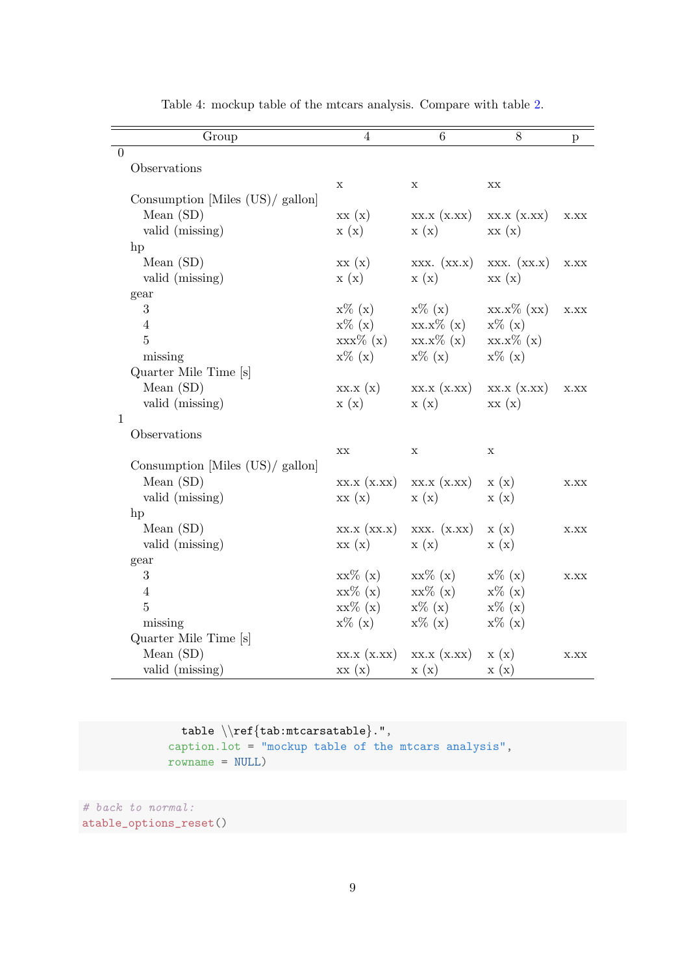| Group                            | 4            | 6            | 8                        | $\mathbf{p}$ |
|----------------------------------|--------------|--------------|--------------------------|--------------|
| $\overline{0}$                   |              |              |                          |              |
| Observations                     |              |              |                          |              |
|                                  | $\mathbf X$  | X            | $\mathbf{XX}$            |              |
| Consumption [Miles (US)/ gallon] |              |              |                          |              |
| Mean $(SD)$                      | xx(x)        | XX.X (X.XX)  | XX.X (X,XX)              | X.XX         |
| valid (missing)                  | x(x)         | x(x)         | xx(x)                    |              |
| hp                               |              |              |                          |              |
| Mean $(SD)$                      | xx(x)        | XXX. (XX.X)  | XXX. (XX.X)              | X.XX         |
| valid (missing)                  | x(x)         | x(x)         | xx(x)                    |              |
| gear                             |              |              |                          |              |
| 3                                | $x\%$ (x)    | $x\%$ (x)    | $XX.X\%$ $(XX)$          | X.XX         |
| $\overline{4}$                   | $x\%$ (x)    | $xx.x\% (x)$ | $x\%$ $(x)$              |              |
| $\overline{5}$                   | $xxx\% (x)$  | $xx.x\% (x)$ | $xx.x\% (x)$             |              |
| missing                          | $x\%$ (x)    | $x\%$ (x)    | $x\%$ $(x)$              |              |
| Quarter Mile Time [s]            |              |              |                          |              |
| Mean $(SD)$                      | XX.X(x)      | XX.X (X.XX)  | XX.X (X,XX)              | X.XX         |
| valid (missing)                  | x(x)         | x(x)         | xx(x)                    |              |
| $\mathbf{1}$                     |              |              |                          |              |
| Observations                     |              |              |                          |              |
|                                  | XX           | $\mathbf X$  | $\mathbf X$              |              |
| Consumption [Miles (US)/ gallon] |              |              |                          |              |
| Mean $(SD)$                      | XX.X (X.XX)  | XX.X (X,XX)  | x(x)                     | X.XX         |
| valid (missing)                  | xx(x)        | x(x)         | x(x)                     |              |
| hp                               |              |              |                          |              |
| Mean $(SD)$                      | XX.X (XX.X)  | XXX. (X.XX)  | x(x)                     | X.XX         |
| valid (missing)                  | xx(x)        | x(x)         | x(x)                     |              |
| gear                             |              |              |                          |              |
| 3                                | $xx\% (x)$   | $xx\% (x)$   | $x\%$ (x)                | X.XX         |
| $\overline{4}$                   | $xx\%$ $(x)$ | $xx\% (x)$   | $x\%$ (x)                |              |
| $\overline{5}$                   | $xx\% (x)$   | $x\%$ (x)    | $x\%$ (x)                |              |
| missing                          | $x\%$ (x)    | $x\%$ (x)    | $x\%$ (x)                |              |
| Quarter Mile Time [s]            |              |              |                          |              |
| Mean $(SD)$                      | XX.X (X,XX)  | XX.X (X.XX)  | $\mathbf{x}(\mathbf{x})$ | X.XX         |
| valid (missing)                  | xx(x)        | x(x)         | x(x)                     |              |

<span id="page-8-0"></span>Table 4: mockup table of the mtcars analysis. Compare with table [2.](#page-4-0)

```
table \\ref{tab:mtcarsatable}.",
caption.lot = "mockup table of the mtcars analysis",
rowname = NULL)
```

```
# back to normal:
atable_options_reset()
```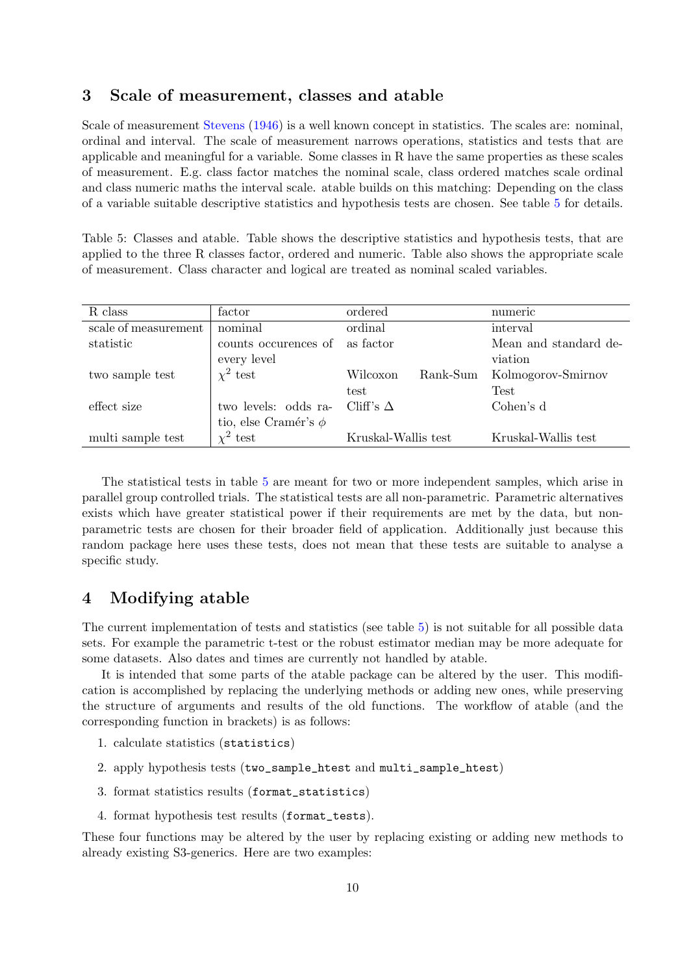### <span id="page-9-0"></span>3 Scale of measurement, classes and atable

Scale of measurement [Stevens](#page-14-4) [\(1946\)](#page-14-4) is a well known concept in statistics. The scales are: nominal, ordinal and interval. The scale of measurement narrows operations, statistics and tests that are applicable and meaningful for a variable. Some classes in R have the same properties as these scales of measurement. E.g. class factor matches the nominal scale, class ordered matches scale ordinal and class numeric maths the interval scale. atable builds on this matching: Depending on the class of a variable suitable descriptive statistics and hypothesis tests are chosen. See table [5](#page-9-2) for details.

<span id="page-9-2"></span>Table 5: Classes and atable. Table shows the descriptive statistics and hypothesis tests, that are applied to the three R classes factor, ordered and numeric. Table also shows the appropriate scale of measurement. Class character and logical are treated as nominal scaled variables.

| R class              | factor                    | ordered              | numeric               |
|----------------------|---------------------------|----------------------|-----------------------|
| scale of measurement | nominal                   | ordinal              | interval              |
| statistic            | counts occurences of      | as factor            | Mean and standard de- |
|                      | every level               |                      | viation               |
| two sample test      | $\chi^2$ test             | Rank-Sum<br>Wilcoxon | Kolmogorov-Smirnov    |
|                      |                           | test                 | <b>Test</b>           |
| effect size          | two levels: odds ra-      | Cliff's $\Delta$     | Cohen's d             |
|                      | tio, else Cramér's $\phi$ |                      |                       |
| multi sample test    | $\chi^2$ test             | Kruskal-Wallis test  | Kruskal-Wallis test   |

The statistical tests in table [5](#page-9-2) are meant for two or more independent samples, which arise in parallel group controlled trials. The statistical tests are all non-parametric. Parametric alternatives exists which have greater statistical power if their requirements are met by the data, but nonparametric tests are chosen for their broader field of application. Additionally just because this random package here uses these tests, does not mean that these tests are suitable to analyse a specific study.

## <span id="page-9-1"></span>4 Modifying atable

The current implementation of tests and statistics (see table [5\)](#page-9-2) is not suitable for all possible data sets. For example the parametric t-test or the robust estimator median may be more adequate for some datasets. Also dates and times are currently not handled by atable.

It is intended that some parts of the atable package can be altered by the user. This modification is accomplished by replacing the underlying methods or adding new ones, while preserving the structure of arguments and results of the old functions. The workflow of atable (and the corresponding function in brackets) is as follows:

- 1. calculate statistics (statistics)
- 2. apply hypothesis tests (two\_sample\_htest and multi\_sample\_htest)
- 3. format statistics results (format\_statistics)
- 4. format hypothesis test results (format\_tests).

These four functions may be altered by the user by replacing existing or adding new methods to already existing S3-generics. Here are two examples: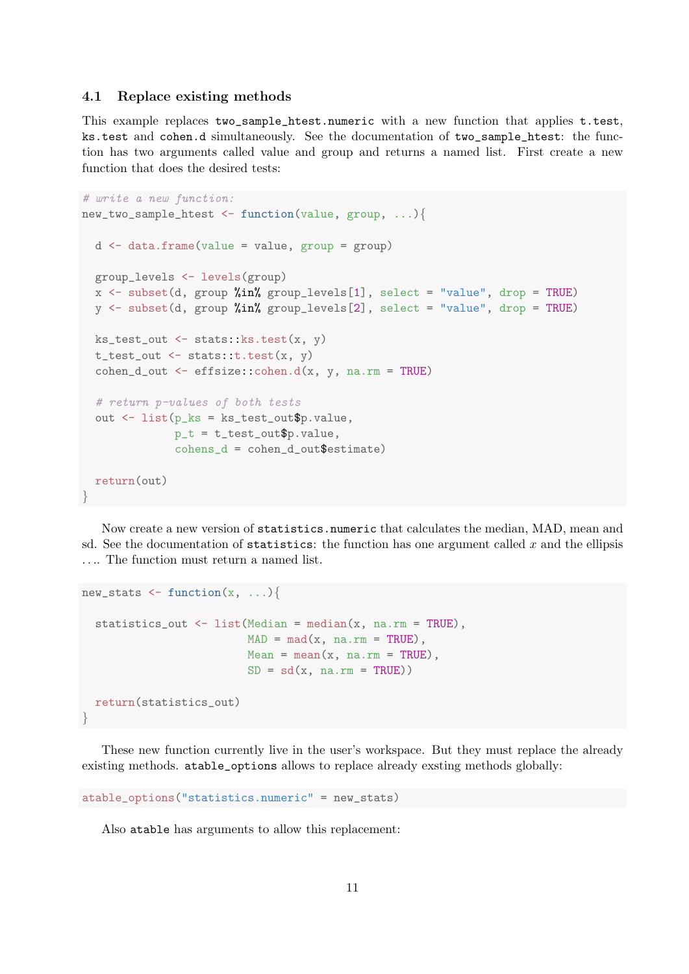#### <span id="page-10-0"></span>4.1 Replace existing methods

This example replaces two\_sample\_htest.numeric with a new function that applies t.test, ks.test and cohen.d simultaneously. See the documentation of two\_sample\_htest: the function has two arguments called value and group and returns a named list. First create a new function that does the desired tests:

```
# write a new function:
new_two_sample_htest <- function(value, group, ...){
  d <- data.frame(value = value, group = group)
  group_levels <- levels(group)
  x \leq subset(d, group %in% group_levels[1], select = "value", drop = TRUE)
  y \leq - subset(d, group %in% group_levels[2], select = "value", drop = TRUE)
  ks_test_out \leftarrow stats::ks.test(x, y)t_test_out \leftarrow stats::t.test(x, y)\text{cohen\_d\_out} \leq \text{effsize::cohen.d(x, y, na.rm = TRUE)}# return p-values of both tests
  out <- list(p_ks = ks_test_out$p.value,
              p_t = t_t = t_0cohens_d = cohen_d_out$estimate)
  return(out)
}
```
Now create a new version of statistics.numeric that calculates the median, MAD, mean and sd. See the documentation of statistics: the function has one argument called  $x$  and the ellipsis .... The function must return a named list.

```
new_stats \leq function(x, \ldots){
  statistics_out <- list(Median = median(x, na.rm = TRUE),
                         MAD = mad(x, na.rm = TRUE),Mean = mean(x, na.rm = TRUE),
                         SD = sd(x, na.rm = TRUE)return(statistics_out)
}
```
These new function currently live in the user's workspace. But they must replace the already existing methods. atable\_options allows to replace already exsting methods globally:

```
atable_options("statistics.numeric" = new_stats)
```
Also atable has arguments to allow this replacement: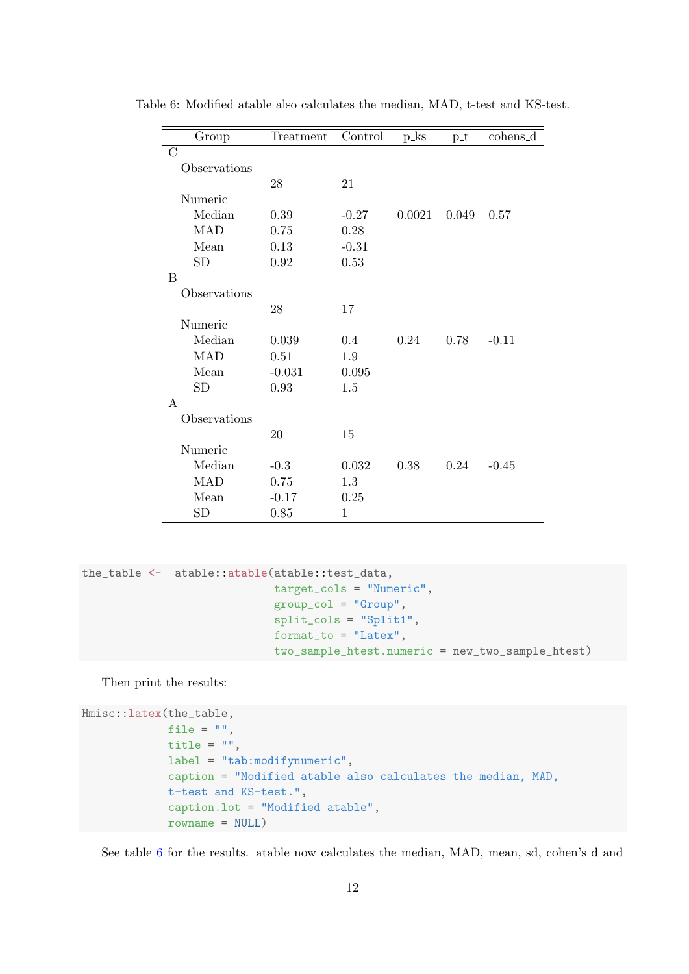<span id="page-11-0"></span>

| Group         | Treatment | Control | $p_{\perp}$ ks | $p_t$ | cohens_d |
|---------------|-----------|---------|----------------|-------|----------|
| $\mathcal{C}$ |           |         |                |       |          |
| Observations  |           |         |                |       |          |
|               | 28        | 21      |                |       |          |
| Numeric       |           |         |                |       |          |
| Median        | 0.39      | $-0.27$ | 0.0021         | 0.049 | 0.57     |
| <b>MAD</b>    | 0.75      | 0.28    |                |       |          |
| Mean          | 0.13      | $-0.31$ |                |       |          |
| SD            | $0.92\,$  | 0.53    |                |       |          |
| B             |           |         |                |       |          |
| Observations  |           |         |                |       |          |
|               | 28        | 17      |                |       |          |
| Numeric       |           |         |                |       |          |
| Median        | 0.039     | 0.4     | 0.24           | 0.78  | $-0.11$  |
| <b>MAD</b>    | 0.51      | $1.9\,$ |                |       |          |
| Mean          | $-0.031$  | 0.095   |                |       |          |
| SD            | 0.93      | 1.5     |                |       |          |
| A             |           |         |                |       |          |
| Observations  |           |         |                |       |          |
|               | 20        | 15      |                |       |          |
| Numeric       |           |         |                |       |          |
| Median        | $-0.3$    | 0.032   | 0.38           | 0.24  | $-0.45$  |
| <b>MAD</b>    | 0.75      | 1.3     |                |       |          |
| Mean          | $-0.17$   | 0.25    |                |       |          |
| SD            | 0.85      | 1       |                |       |          |

Table 6: Modified atable also calculates the median, MAD, t-test and KS-test.

```
the_table <- atable::atable(atable::test_data,
                             target_cols = "Numeric",
                             group_col = "Group",
                             split_cols = "Split1",
                             format_to = "Latex",
                             two_sample_htest.numeric = new_two_sample_htest)
```
Then print the results:

```
Hmisc::latex(the_table,
             file = ",
             title = ",
             label = "tab:modifynumeric",
             caption = "Modified atable also calculates the median, MAD,
             t-test and KS-test.",
             caption.lot = "Modified atable",
             rowname = NULL)
```
See table [6](#page-11-0) for the results. atable now calculates the median, MAD, mean, sd, cohen's d and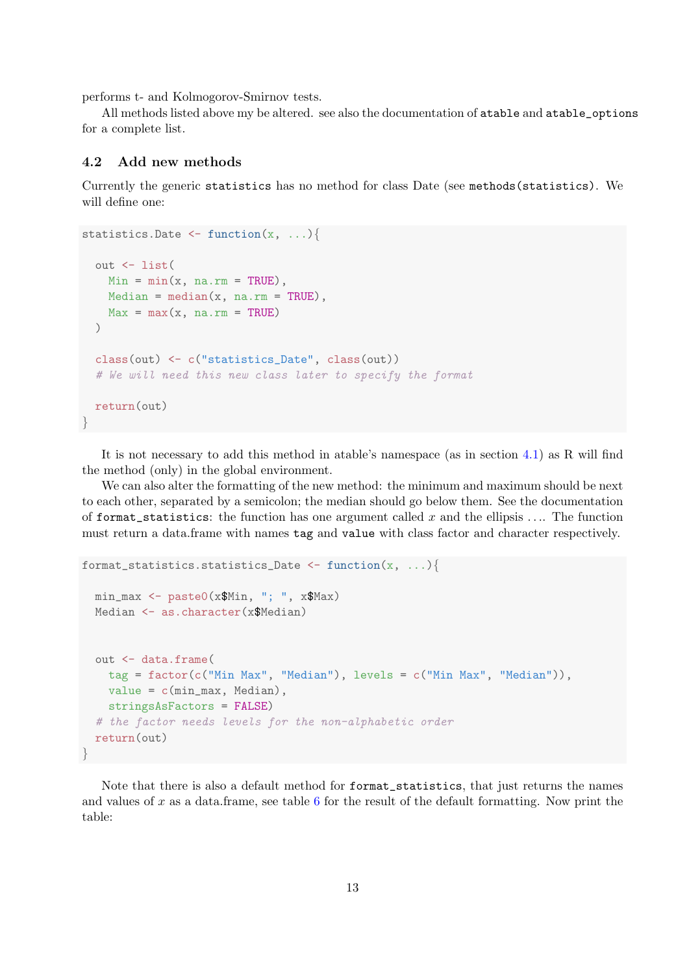performs t- and Kolmogorov-Smirnov tests.

All methods listed above my be altered. see also the documentation of atable and atable\_options for a complete list.

#### <span id="page-12-0"></span>4.2 Add new methods

Currently the generic statistics has no method for class Date (see methods(statistics). We will define one:

```
statistics. Date \leftarrow function(x, \ldots){
 out <- list(
    Min = min(x, na.rm = TRUE),
   Median = median(x, na.rm = TRUE),Max = max(x, na.rm = TRUE)\lambdaclass(out) <- c("statistics_Date", class(out))
  # We will need this new class later to specify the format
 return(out)
}
```
It is not necessary to add this method in atable's namespace (as in section [4.1\)](#page-10-0) as R will find the method (only) in the global environment.

We can also alter the formatting of the new method: the minimum and maximum should be next to each other, separated by a semicolon; the median should go below them. See the documentation of format\_statistics: the function has one argument called x and the ellipsis  $\dots$ . The function must return a data.frame with names tag and value with class factor and character respectively.

```
format_statistics.statistics_Date <- function(x, ...){
  min_max <- paste0(x$Min, "; ", x$Max)
  Median <- as.character(x$Median)
  out <- data.frame(
    tag = factor(c("Min Max", "Median"), levels = c("Min Max", "Median")),
    value = c(min_max, Median),
    stringsAsFactors = FALSE)
  # the factor needs levels for the non-alphabetic order
  return(out)
}
```
Note that there is also a default method for format\_statistics, that just returns the names and values of  $x$  as a data.frame, see table  $6$  for the result of the default formatting. Now print the table: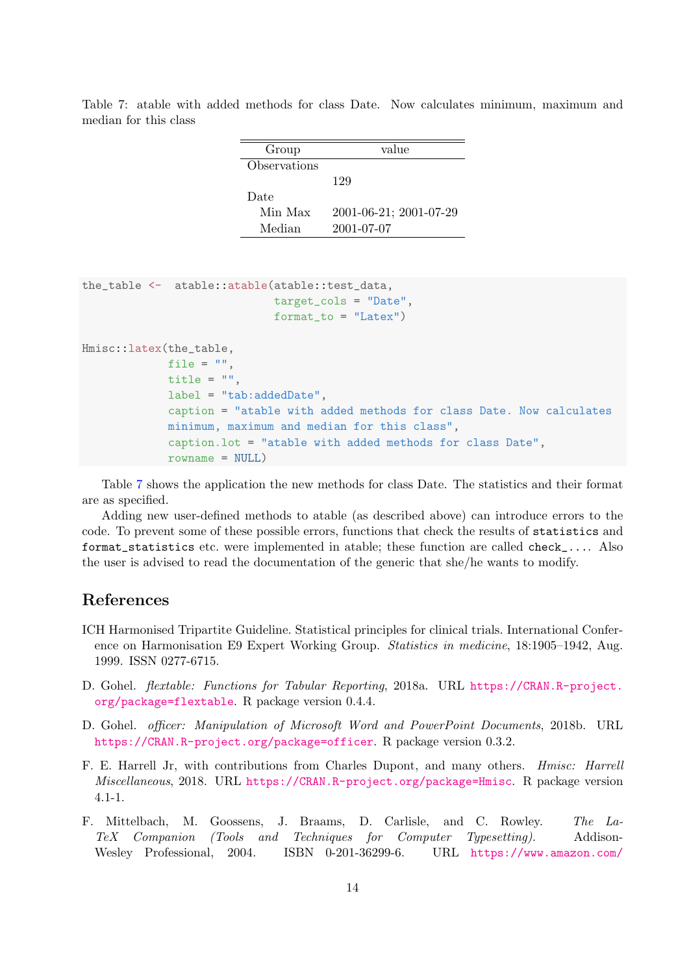<span id="page-13-0"></span>Table 7: atable with added methods for class Date. Now calculates minimum, maximum and median for this class

| Group        | value                  |
|--------------|------------------------|
| Observations |                        |
|              | 129                    |
| Date         |                        |
| Min Max      | 2001-06-21; 2001-07-29 |
| Median       | 2001-07-07             |

```
the_table <- atable::atable(atable::test_data,
                             target_cols = "Date",
                             format_to = "Later")Hmisc::latex(the_table,
             file = ".
             title = ",
             label = "tab:addedDate",
             caption = "atable with added methods for class Date. Now calculates
             minimum, maximum and median for this class",
             caption.lot = "atable with added methods for class Date",
             rowname = NULL)
```
Table [7](#page-13-0) shows the application the new methods for class Date. The statistics and their format are as specified.

Adding new user-defined methods to atable (as described above) can introduce errors to the code. To prevent some of these possible errors, functions that check the results of statistics and format\_statistics etc. were implemented in atable; these function are called check\_.... Also the user is advised to read the documentation of the generic that she/he wants to modify.

## References

- <span id="page-13-1"></span>ICH Harmonised Tripartite Guideline. Statistical principles for clinical trials. International Conference on Harmonisation E9 Expert Working Group. Statistics in medicine, 18:1905–1942, Aug. 1999. ISSN 0277-6715.
- <span id="page-13-5"></span>D. Gohel. flextable: Functions for Tabular Reporting, 2018a. URL [https://CRAN.R-project.](https://CRAN.R-project.org/package=flextable) [org/package=flextable](https://CRAN.R-project.org/package=flextable). R package version 0.4.4.
- <span id="page-13-4"></span>D. Gohel. officer: Manipulation of Microsoft Word and PowerPoint Documents, 2018b. URL <https://CRAN.R-project.org/package=officer>. R package version 0.3.2.
- <span id="page-13-3"></span>F. E. Harrell Jr, with contributions from Charles Dupont, and many others. Hmisc: Harrell Miscellaneous, 2018. URL <https://CRAN.R-project.org/package=Hmisc>. R package version 4.1-1.
- <span id="page-13-2"></span>F. Mittelbach, M. Goossens, J. Braams, D. Carlisle, and C. Rowley. The La-TeX Companion (Tools and Techniques for Computer Typesetting). Addison-Wesley Professional, 2004. ISBN 0-201-36299-6. URL [https://www.amazon.com/](https://www.amazon.com/LaTeX-Companion-Techniques-Computer-Typesetting/dp/0201362996?SubscriptionId=AKIAIOBINVZYXZQZ2U3A&tag=chimbori05-20&linkCode=xm2&camp=2025&creative=165953&creativeASIN=0201362996)